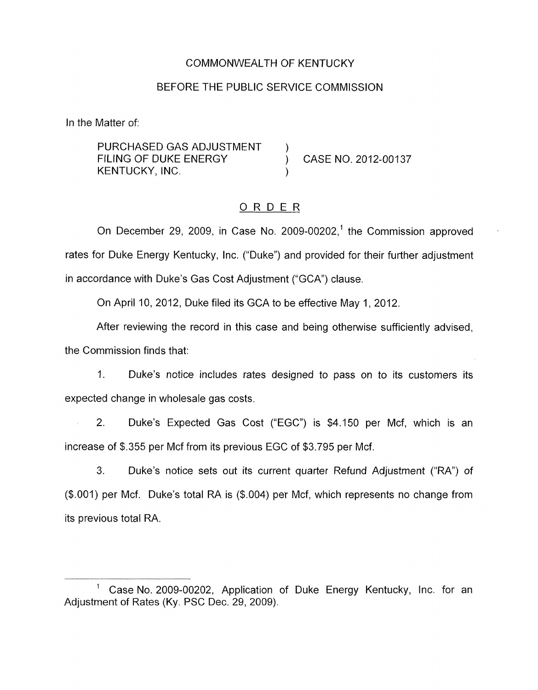### COMMONWEALTH OF KENTUCKY

#### BEFORE THE PUBLIC SERVICE COMMISSION

In the Matter of:

PURCHASED GAS ADJUSTMENT FILING OF DUKE ENERGY (CASE NO. 2012-00137 KENTUCKY, INC.

## ORDER

On December 29, 2009, in Case No. 2009-00202,<sup>1</sup> the Commission approved rates for Duke Energy Kentucky, Inc. ("Duke") and provided for their further adjustment in accordance with Duke's Gas Cost Adjustment ("GCA") clause.

On April IO, 2012, Duke filed its GCA to be effective May 1, 2012.

After reviewing the record in this case and being otherwise sufficiently advised, the Commission finds that:

1. Duke's notice includes rates designed to pass on to its customers its expected change in wholesale gas costs.

2. Duke's Expected Gas Cost ("EGC") is \$4.150 per Mcf, which is an increase of \$.355 per Mcf from its previous EGC of \$3.795 per Mcf.

3. Duke's notice sets out its current quarter Refund Adjustment ("RA") *of*  (\$.001) per Mcf. Duke's total RA is (\$.004) per Mcf, which represents no change from its previous total RA.

Case No. 2009-00202, Application of Duke Energy Kentucky, Inc. for an Adjustment of Rates (Ky. PSC Dec. 29, 2009).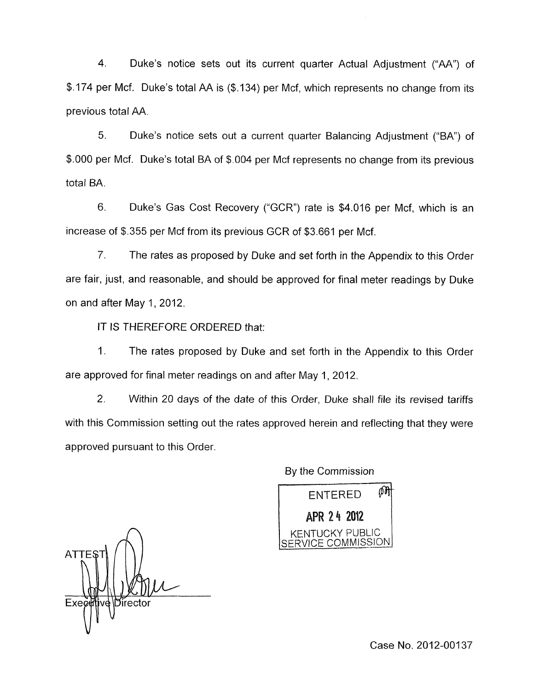4. Duke's notice sets out its current quarter Actual Adjustment ("AA'') of \$.I74 per Mcf. Duke's total AA is (\$.134) per Mcf, which represents no change from its previous total AA.

5. Duke's natice sets out a current quarter Balancing Adjustment ("BA'') of \$.000 per Mcf. Duke's total BA of \$.004 per Mcf represents no change from its previous total BA.

6. Duke's Gas Cost Recovery ("GCR'') rate is \$4.016 per Mcf, which is an increase of \$.355 per Mcf from its previous GCR of \$3.661 per Mcf.

7. The rates as proposed by Duke and set forth in the Appendix to this Order are fair, just, and reasonable, and should be approved for final meter readings by Duke on and after May 1,2012.

IT IS THEREFORE ORDERED that:

1. The rates proposed by Duke and set forth in the Appendix to this Order are approved for final meter readings on and after May 1, 2012.

2. Within 20 days of the date of this Order, Duke shall file its revised tariffs with this Commission setting out the rates approved herein and reflecting that they were approved pursuant to this Order.

By the Commission

⋒ **FNTERED** APR 24 2012 APR 24 2012 SERVICE COMMISSION

**ATTES** Director Exe

Case No. 2012-00137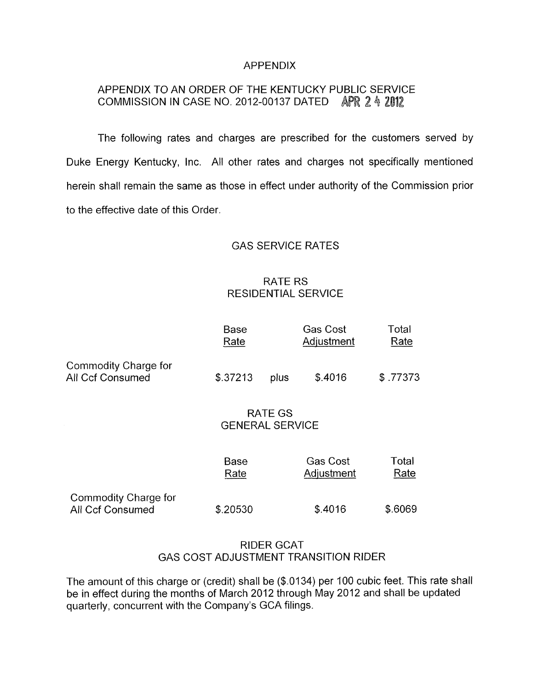#### APPENDIX

# APPENDIX TO AN ORDER OF THE KENTUCKY PUBLIC SERVICE COMMISSION IN CASE NO. 2012-00137 DATED

The following rates and charges are prescribed for the customers served by Duke Energy Kentucky, Inc. All other rates and charges not specifically mentioned herein shall remain the same as those in effect under authority of the Commission prior to the effective date of this Order.

### GAS SERVICE RATES

## RATE RS RESIDENTIAL SERVICE

|                                                 | Base<br>Rate                             |      | <b>Gas Cost</b><br>Adjustment | Total<br>Rate |
|-------------------------------------------------|------------------------------------------|------|-------------------------------|---------------|
| Commodity Charge for<br><b>All Ccf Consumed</b> | \$.37213                                 | plus | \$.4016                       | \$.77373      |
|                                                 | <b>RATE GS</b><br><b>GENERAL SERVICE</b> |      |                               |               |
|                                                 | Base<br>Rate                             |      | <b>Gas Cost</b><br>Adjustment | Total<br>Rate |
| Commodity Charge for<br><b>All Ccf Consumed</b> | \$.20530                                 |      | \$.4016                       | \$.6069       |

## RIDER GCAT GAS COST ADJUSTMENT TRANSITION RIDER

The amount of this charge or (credit) shall be (\$.0134) per 100 cubic feet. This rate shall be in effect during the months of March 2012 through May 2012 and shall be updated quarterly, concurrent with the Company's GCA filings.